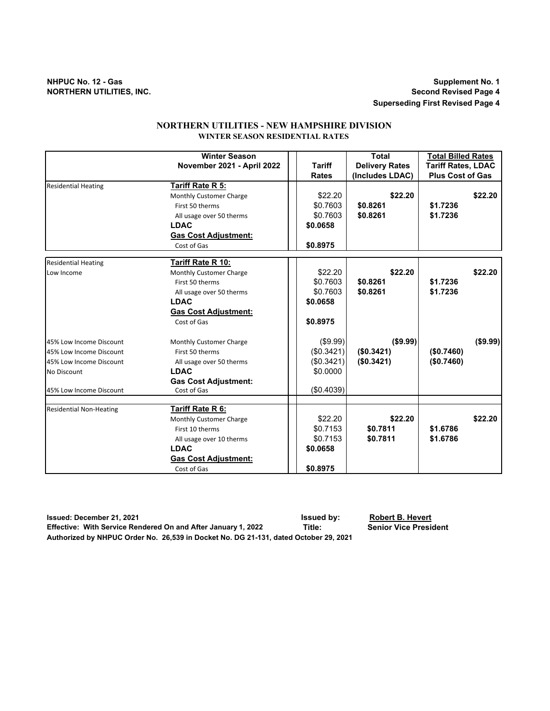# **NHPUC No. 12 - Gas Supplement No. 1 NORTHERN UTILITIES, INC.**

**Superseding First Revised Page 4**

# **NORTHERN UTILITIES - NEW HAMPSHIRE DIVISION WINTER SEASON RESIDENTIAL RATES**

|                                | <b>Winter Season</b>        |               | <b>Total</b>          | <b>Total Billed Rates</b> |
|--------------------------------|-----------------------------|---------------|-----------------------|---------------------------|
|                                | November 2021 - April 2022  | <b>Tariff</b> | <b>Delivery Rates</b> | <b>Tariff Rates, LDAC</b> |
|                                |                             | <b>Rates</b>  | (Includes LDAC)       | <b>Plus Cost of Gas</b>   |
| <b>Residential Heating</b>     | Tariff Rate R 5:            |               |                       |                           |
|                                | Monthly Customer Charge     | \$22.20       | \$22.20               | \$22.20                   |
|                                | First 50 therms             | \$0.7603      | \$0.8261              | \$1.7236                  |
|                                | All usage over 50 therms    | \$0.7603      | \$0.8261              | \$1.7236                  |
|                                | <b>LDAC</b>                 | \$0.0658      |                       |                           |
|                                | <b>Gas Cost Adjustment:</b> |               |                       |                           |
|                                | Cost of Gas                 | \$0.8975      |                       |                           |
| <b>Residential Heating</b>     | Tariff Rate R 10:           |               |                       |                           |
| Low Income                     | Monthly Customer Charge     | \$22.20       | \$22.20               | \$22.20                   |
|                                | First 50 therms             | \$0.7603      | \$0.8261              | \$1.7236                  |
|                                | All usage over 50 therms    | \$0.7603      | \$0.8261              | \$1.7236                  |
|                                | <b>LDAC</b>                 | \$0.0658      |                       |                           |
|                                | <b>Gas Cost Adjustment:</b> |               |                       |                           |
|                                | Cost of Gas                 | \$0.8975      |                       |                           |
| 45% Low Income Discount        | Monthly Customer Charge     | (\$9.99)      | (\$9.99)              | (\$9.99)                  |
| 45% Low Income Discount        | First 50 therms             | (\$0.3421)    | (\$0.3421)            | (\$0.7460)                |
| 45% Low Income Discount        | All usage over 50 therms    | (\$0.3421)    | (\$0.3421)            | (\$0.7460)                |
| No Discount                    | <b>LDAC</b>                 | \$0.0000      |                       |                           |
|                                | <b>Gas Cost Adjustment:</b> |               |                       |                           |
| 45% Low Income Discount        | Cost of Gas                 | (\$0.4039)    |                       |                           |
|                                |                             |               |                       |                           |
| <b>Residential Non-Heating</b> | Tariff Rate R 6:            |               |                       |                           |
|                                | Monthly Customer Charge     | \$22.20       | \$22.20               | \$22.20                   |
|                                | First 10 therms             | \$0.7153      | \$0.7811              | \$1.6786                  |
|                                | All usage over 10 therms    | \$0.7153      | \$0.7811              | \$1.6786                  |
|                                | <b>LDAC</b>                 | \$0.0658      |                       |                           |
|                                | <b>Gas Cost Adjustment:</b> |               |                       |                           |
|                                | Cost of Gas                 | \$0.8975      |                       |                           |

**Issued: December 21, 2021 Issued by: Robert B. Hevert Effective: With Service Rendered On and After January 1, 2022 Title: Authorized by NHPUC Order No. 26,539 in Docket No. DG 21-131, dated October 29, 2021**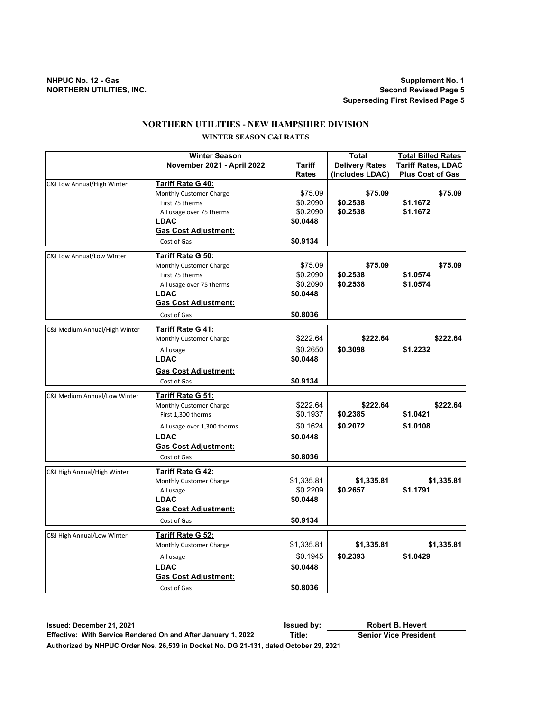# **NORTHERN UTILITIES - NEW HAMPSHIRE DIVISION**

### **WINTER SEASON C&I RATES**

| <b>Tariff Rates, LDAC</b><br>November 2021 - April 2022<br><b>Tariff</b><br><b>Delivery Rates</b><br>(Includes LDAC)<br><b>Plus Cost of Gas</b><br><b>Rates</b><br>C&I Low Annual/High Winter<br>Tariff Rate G 40:<br>\$75.09<br>\$75.09<br>Monthly Customer Charge<br>\$0.2538<br>\$0.2090<br>\$1.1672<br>First 75 therms<br>\$0.2090<br>\$0.2538<br>\$1.1672<br>All usage over 75 therms<br><b>LDAC</b><br>\$0.0448<br><b>Gas Cost Adjustment:</b><br>\$0.9134<br>Cost of Gas<br>Tariff Rate G 50:<br>C&I Low Annual/Low Winter<br>\$75.09<br>\$75.09<br>Monthly Customer Charge<br>\$0.2538<br>\$0.2090<br>\$1.0574<br>First 75 therms<br>\$0.2090<br>\$0.2538<br>\$1.0574<br>All usage over 75 therms<br><b>LDAC</b><br>\$0.0448<br><b>Gas Cost Adjustment:</b><br>\$0.8036<br>Cost of Gas | \$75.09<br>\$75.09 |
|------------------------------------------------------------------------------------------------------------------------------------------------------------------------------------------------------------------------------------------------------------------------------------------------------------------------------------------------------------------------------------------------------------------------------------------------------------------------------------------------------------------------------------------------------------------------------------------------------------------------------------------------------------------------------------------------------------------------------------------------------------------------------------------------|--------------------|
|                                                                                                                                                                                                                                                                                                                                                                                                                                                                                                                                                                                                                                                                                                                                                                                                |                    |
|                                                                                                                                                                                                                                                                                                                                                                                                                                                                                                                                                                                                                                                                                                                                                                                                |                    |
|                                                                                                                                                                                                                                                                                                                                                                                                                                                                                                                                                                                                                                                                                                                                                                                                |                    |
|                                                                                                                                                                                                                                                                                                                                                                                                                                                                                                                                                                                                                                                                                                                                                                                                |                    |
|                                                                                                                                                                                                                                                                                                                                                                                                                                                                                                                                                                                                                                                                                                                                                                                                |                    |
|                                                                                                                                                                                                                                                                                                                                                                                                                                                                                                                                                                                                                                                                                                                                                                                                |                    |
|                                                                                                                                                                                                                                                                                                                                                                                                                                                                                                                                                                                                                                                                                                                                                                                                |                    |
|                                                                                                                                                                                                                                                                                                                                                                                                                                                                                                                                                                                                                                                                                                                                                                                                |                    |
|                                                                                                                                                                                                                                                                                                                                                                                                                                                                                                                                                                                                                                                                                                                                                                                                |                    |
|                                                                                                                                                                                                                                                                                                                                                                                                                                                                                                                                                                                                                                                                                                                                                                                                |                    |
|                                                                                                                                                                                                                                                                                                                                                                                                                                                                                                                                                                                                                                                                                                                                                                                                |                    |
|                                                                                                                                                                                                                                                                                                                                                                                                                                                                                                                                                                                                                                                                                                                                                                                                |                    |
|                                                                                                                                                                                                                                                                                                                                                                                                                                                                                                                                                                                                                                                                                                                                                                                                |                    |
|                                                                                                                                                                                                                                                                                                                                                                                                                                                                                                                                                                                                                                                                                                                                                                                                |                    |
|                                                                                                                                                                                                                                                                                                                                                                                                                                                                                                                                                                                                                                                                                                                                                                                                |                    |
|                                                                                                                                                                                                                                                                                                                                                                                                                                                                                                                                                                                                                                                                                                                                                                                                |                    |
| Tariff Rate G 41:<br>C&I Medium Annual/High Winter                                                                                                                                                                                                                                                                                                                                                                                                                                                                                                                                                                                                                                                                                                                                             |                    |
| \$222.64<br>\$222.64<br>Monthly Customer Charge                                                                                                                                                                                                                                                                                                                                                                                                                                                                                                                                                                                                                                                                                                                                                | \$222.64           |
| \$0.2650<br>\$0.3098<br>\$1.2232<br>All usage                                                                                                                                                                                                                                                                                                                                                                                                                                                                                                                                                                                                                                                                                                                                                  |                    |
| <b>LDAC</b><br>\$0.0448                                                                                                                                                                                                                                                                                                                                                                                                                                                                                                                                                                                                                                                                                                                                                                        |                    |
| <b>Gas Cost Adjustment:</b>                                                                                                                                                                                                                                                                                                                                                                                                                                                                                                                                                                                                                                                                                                                                                                    |                    |
| \$0.9134<br>Cost of Gas                                                                                                                                                                                                                                                                                                                                                                                                                                                                                                                                                                                                                                                                                                                                                                        |                    |
| C&I Medium Annual/Low Winter<br>Tariff Rate G 51:                                                                                                                                                                                                                                                                                                                                                                                                                                                                                                                                                                                                                                                                                                                                              |                    |
| \$222.64<br>\$222.64<br>Monthly Customer Charge                                                                                                                                                                                                                                                                                                                                                                                                                                                                                                                                                                                                                                                                                                                                                | \$222.64           |
| \$0.1937<br>\$0.2385<br>\$1.0421<br>First 1,300 therms                                                                                                                                                                                                                                                                                                                                                                                                                                                                                                                                                                                                                                                                                                                                         |                    |
| \$0.1624<br>\$0.2072<br>\$1.0108<br>All usage over 1,300 therms                                                                                                                                                                                                                                                                                                                                                                                                                                                                                                                                                                                                                                                                                                                                |                    |
| <b>LDAC</b><br>\$0.0448                                                                                                                                                                                                                                                                                                                                                                                                                                                                                                                                                                                                                                                                                                                                                                        |                    |
| <b>Gas Cost Adjustment:</b>                                                                                                                                                                                                                                                                                                                                                                                                                                                                                                                                                                                                                                                                                                                                                                    |                    |
| Cost of Gas<br>\$0.8036                                                                                                                                                                                                                                                                                                                                                                                                                                                                                                                                                                                                                                                                                                                                                                        |                    |
| <b>Tariff Rate G 42:</b><br>C&I High Annual/High Winter                                                                                                                                                                                                                                                                                                                                                                                                                                                                                                                                                                                                                                                                                                                                        |                    |
| \$1,335.81<br>\$1,335.81<br>Monthly Customer Charge                                                                                                                                                                                                                                                                                                                                                                                                                                                                                                                                                                                                                                                                                                                                            | \$1,335.81         |
| \$0.2209<br>\$0.2657<br>\$1.1791<br>All usage                                                                                                                                                                                                                                                                                                                                                                                                                                                                                                                                                                                                                                                                                                                                                  |                    |
| <b>LDAC</b><br>\$0.0448                                                                                                                                                                                                                                                                                                                                                                                                                                                                                                                                                                                                                                                                                                                                                                        |                    |
| <b>Gas Cost Adjustment:</b>                                                                                                                                                                                                                                                                                                                                                                                                                                                                                                                                                                                                                                                                                                                                                                    |                    |
| \$0.9134<br>Cost of Gas                                                                                                                                                                                                                                                                                                                                                                                                                                                                                                                                                                                                                                                                                                                                                                        |                    |
| Tariff Rate G 52:<br>C&I High Annual/Low Winter                                                                                                                                                                                                                                                                                                                                                                                                                                                                                                                                                                                                                                                                                                                                                |                    |
| \$1,335.81<br>\$1,335.81<br>Monthly Customer Charge                                                                                                                                                                                                                                                                                                                                                                                                                                                                                                                                                                                                                                                                                                                                            | \$1,335.81         |
| \$0.1945<br>\$0.2393<br>\$1.0429<br>All usage                                                                                                                                                                                                                                                                                                                                                                                                                                                                                                                                                                                                                                                                                                                                                  |                    |
| <b>LDAC</b><br>\$0.0448                                                                                                                                                                                                                                                                                                                                                                                                                                                                                                                                                                                                                                                                                                                                                                        |                    |
| <b>Gas Cost Adjustment:</b>                                                                                                                                                                                                                                                                                                                                                                                                                                                                                                                                                                                                                                                                                                                                                                    |                    |
| \$0.8036<br>Cost of Gas                                                                                                                                                                                                                                                                                                                                                                                                                                                                                                                                                                                                                                                                                                                                                                        |                    |

**Issued: December 21, 2021 Issued by: Effective: With Service Rendered On and After January 1, 2022 Title: Authorized by NHPUC Order Nos. 26,539 in Docket No. DG 21-131, dated October 29, 2021 Robert B. Hevert Senior Vice President**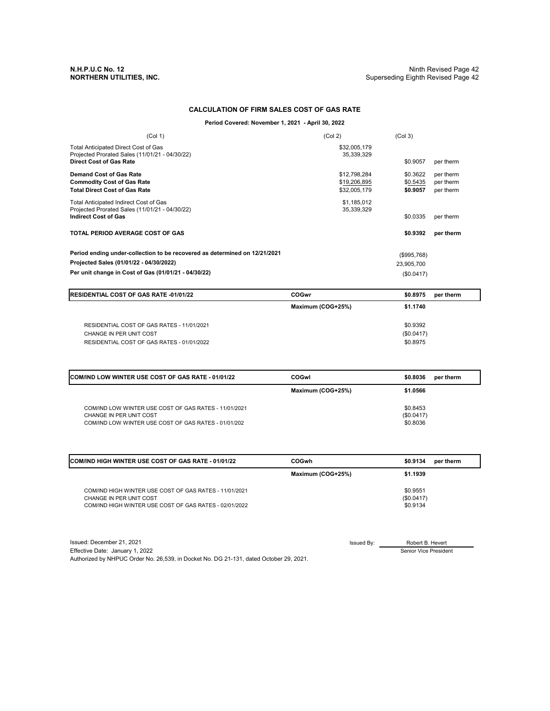### **CALCULATION OF FIRM SALES COST OF GAS RATE**

### **Period Covered: November 1, 2021 - April 30, 2022**

| (Col 1)                                                                                       | (Col 2)                    | (Col <sub>3</sub> ) |           |
|-----------------------------------------------------------------------------------------------|----------------------------|---------------------|-----------|
| <b>Total Anticipated Direct Cost of Gas</b><br>Projected Prorated Sales (11/01/21 - 04/30/22) | \$32,005,179<br>35,339,329 |                     |           |
| <b>Direct Cost of Gas Rate</b>                                                                |                            | \$0.9057            | per therm |
| <b>Demand Cost of Gas Rate</b>                                                                | \$12,798,284               | \$0.3622            | per therm |
| <b>Commodity Cost of Gas Rate</b>                                                             | \$19,206,895               | \$0.5435            | per therm |
| <b>Total Direct Cost of Gas Rate</b>                                                          | \$32,005,179               | \$0.9057            | per therm |
| Total Anticipated Indirect Cost of Gas                                                        | \$1.185.012                |                     |           |
| Projected Prorated Sales (11/01/21 - 04/30/22)<br><b>Indirect Cost of Gas</b>                 | 35,339,329                 | \$0.0335            |           |
|                                                                                               |                            |                     | per therm |
| TOTAL PERIOD AVERAGE COST OF GAS                                                              |                            | \$0.9392            | per therm |
| Period ending under-collection to be recovered as determined on 12/21/2021                    |                            | (\$995,768)         |           |
| Projected Sales (01/01/22 - 04/30/2022)                                                       |                            | 23,905,700          |           |
| Per unit change in Cost of Gas (01/01/21 - 04/30/22)                                          |                            | (\$0.0417)          |           |

| <b>IRESIDENTIAL COST OF GAS RATE -01/01/22</b> | COGwr             | \$0.8975<br>per therm |
|------------------------------------------------|-------------------|-----------------------|
|                                                | Maximum (COG+25%) | \$1.1740              |
| RESIDENTIAL COST OF GAS RATES - 11/01/2021     |                   | \$0.9392              |
| CHANGE IN PER UNIT COST                        |                   | (\$0.0417)            |
| RESIDENTIAL COST OF GAS RATES - 01/01/2022     |                   | \$0.8975              |

| <b>ICOM/IND LOW WINTER USE COST OF GAS RATE - 01/01/22</b>                                                                               | COGwl             | \$0.8036                           | per therm |
|------------------------------------------------------------------------------------------------------------------------------------------|-------------------|------------------------------------|-----------|
|                                                                                                                                          | Maximum (COG+25%) | \$1,0566                           |           |
| COM/IND LOW WINTER USE COST OF GAS RATES - 11/01/2021<br>CHANGE IN PER UNIT COST<br>COM/IND LOW WINTER USE COST OF GAS RATES - 01/01/202 |                   | \$0.8453<br>(\$0.0417)<br>\$0.8036 |           |

| <b>COM/IND HIGH WINTER USE COST OF GAS RATE - 01/01/22</b>                                                                                  | <b>COGwh</b>      | \$0.9134<br>per therm              |
|---------------------------------------------------------------------------------------------------------------------------------------------|-------------------|------------------------------------|
|                                                                                                                                             | Maximum (COG+25%) | \$1.1939                           |
| COM/IND HIGH WINTER USE COST OF GAS RATES - 11/01/2021<br>CHANGE IN PER UNIT COST<br>COM/IND HIGH WINTER USE COST OF GAS RATES - 02/01/2022 |                   | \$0.9551<br>(\$0.0417)<br>\$0.9134 |

Issued: December 21, 2021 Issued By: Effective Date: January 1, 2022 Authorized by NHPUC Order No. 26,539, in Docket No. DG 21-131, dated October 29, 2021.

Robert B. Hevert

Senior Vice President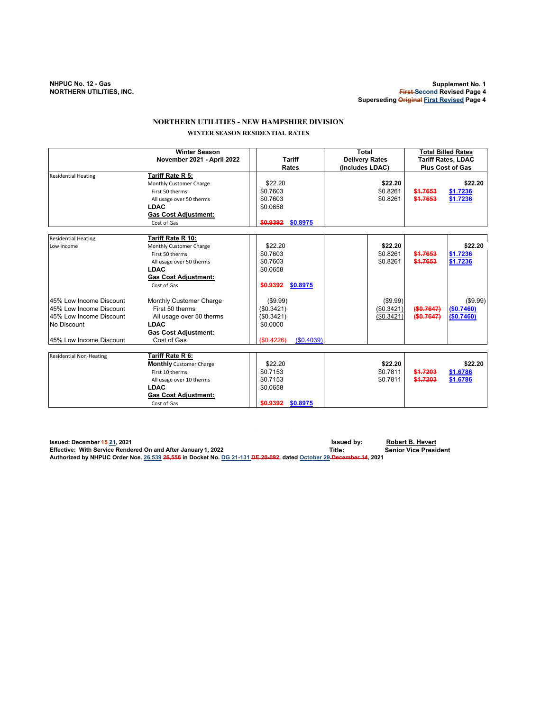# **NORTHERN UTILITIES - NEW HAMPSHIRE DIVISION**

# **WINTER SEASON RESIDENTIAL RATES**

|                                                                                                                         | <b>Winter Season</b><br>November 2021 - April 2022                                                                                                             | <b>Tariff</b><br>Rates                                                      | Total<br><b>Delivery Rates</b><br>(Includes LDAC) | <b>Total Billed Rates</b><br><b>Tariff Rates, LDAC</b><br><b>Plus Cost of Gas</b> |
|-------------------------------------------------------------------------------------------------------------------------|----------------------------------------------------------------------------------------------------------------------------------------------------------------|-----------------------------------------------------------------------------|---------------------------------------------------|-----------------------------------------------------------------------------------|
| <b>Residential Heating</b>                                                                                              | Tariff Rate R 5:<br>Monthly Customer Charge<br>First 50 therms<br>All usage over 50 therms<br><b>LDAC</b><br><b>Gas Cost Adjustment:</b><br>Cost of Gas        | \$22.20<br>\$0.7603<br>\$0.7603<br>\$0.0658<br>\$0.8975<br>\$0.9392         | \$22.20<br>\$0.8261<br>\$0.8261                   | \$22.20<br>\$1.7653<br>\$1.7236<br>\$1.7653<br>\$1.7236                           |
| <b>Residential Heating</b><br>Low income                                                                                | Tariff Rate R 10:<br>Monthly Customer Charge<br>First 50 therms<br>All usage over 50 therms<br><b>LDAC</b><br><b>Gas Cost Adjustment:</b><br>Cost of Gas       | \$22.20<br>\$0.7603<br>\$0.7603<br>\$0.0658<br>\$0,9392<br>\$0.8975         | \$22.20<br>\$0.8261<br>\$0.8261                   | \$22.20<br>\$1.7653<br>\$1.7236<br>\$1.7653<br>\$1.7236                           |
| 45% Low Income Discount<br>45% Low Income Discount<br>45% Low Income Discount<br>No Discount<br>45% Low Income Discount | Monthly Customer Charge<br>First 50 therms<br>All usage over 50 therms<br><b>LDAC</b><br><b>Gas Cost Adjustment:</b><br>Cost of Gas                            | (\$9.99)<br>(\$0.3421)<br>(\$0.3421)<br>\$0.0000<br>(\$0.4226)<br>(S0.4039) | (\$9.99)<br>(\$0.3421)<br>(\$0.3421)              | (\$9.99)<br>(\$0.7647)<br>(S0.7460)<br>(\$0.7647)<br>(\$0.7460)                   |
| <b>Residential Non-Heating</b>                                                                                          | Tariff Rate R 6:<br><b>Monthly</b> Customer Charge<br>First 10 therms<br>All usage over 10 therms<br><b>LDAC</b><br><b>Gas Cost Adjustment:</b><br>Cost of Gas | \$22.20<br>\$0.7153<br>\$0.7153<br>\$0.0658<br>\$0,9392<br>\$0.8975         | \$22.20<br>\$0.7811<br>\$0.7811                   | \$22.20<br>\$1,7203<br>\$1.6786<br>\$1,7203<br>\$1.6786                           |

**Issued: December 15 21, 2021 Issued by: Robert B. Hevert Effective: With Service Rendered On and After January 1, 2022 Title:** Title: **Authorized by NHPUC Order Nos. 26,539 26,556 in Docket No. DG 21-131 DE 20-092, dated October 29 December 14, 2021**

 $\mathcal{L}_{\rm{eff}}$ 

 $\sim 10$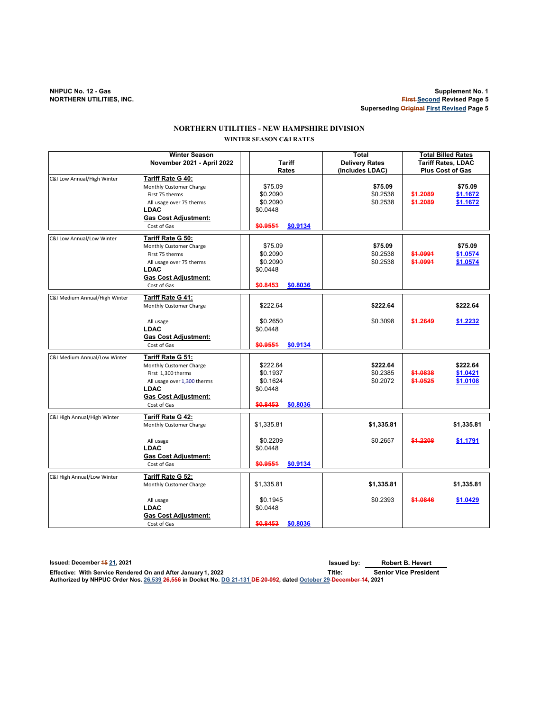**NHPUC No. 12 - Gas Supplement No. 1 First Second Revised Page 5 Superseding Original First Revised Page 5**

# **WINTER SEASON C&I RATES NORTHERN UTILITIES - NEW HAMPSHIRE DIVISION**

| <b>Winter Season</b>          |                             | <b>Total</b>         |                       | <b>Total Billed Rates</b> |                           |
|-------------------------------|-----------------------------|----------------------|-----------------------|---------------------------|---------------------------|
|                               | November 2021 - April 2022  | <b>Tariff</b>        | <b>Delivery Rates</b> |                           | <b>Tariff Rates, LDAC</b> |
|                               |                             | Rates                | (Includes LDAC)       |                           | <b>Plus Cost of Gas</b>   |
| C&I Low Annual/High Winter    | Tariff Rate G 40:           |                      |                       |                           |                           |
|                               | Monthly Customer Charge     | \$75.09              | \$75.09               |                           | \$75.09                   |
|                               | First 75 therms             | \$0.2090             | \$0.2538              | \$1.2089                  | \$1.1672                  |
|                               | All usage over 75 therms    | \$0.2090             | \$0.2538              | \$1,2089                  | \$1.1672                  |
|                               | LDAC                        | \$0.0448             |                       |                           |                           |
|                               | <b>Gas Cost Adjustment:</b> |                      |                       |                           |                           |
|                               | Cost of Gas                 | \$0.9551<br>\$0.9134 |                       |                           |                           |
| C&I Low Annual/Low Winter     | Tariff Rate G 50:           |                      |                       |                           |                           |
|                               | Monthly Customer Charge     | \$75.09              | \$75.09               |                           | \$75.09                   |
|                               | First 75 therms             | \$0.2090             | \$0.2538              | \$1.0991                  | \$1.0574                  |
|                               | All usage over 75 therms    | \$0.2090             | \$0.2538              | \$1.0991                  | \$1.0574                  |
|                               | <b>LDAC</b>                 | \$0.0448             |                       |                           |                           |
|                               | <b>Gas Cost Adjustment:</b> |                      |                       |                           |                           |
|                               | Cost of Gas                 | \$0.8453<br>\$0.8036 |                       |                           |                           |
|                               |                             |                      |                       |                           |                           |
| C&I Medium Annual/High Winter | Tariff Rate G 41:           |                      |                       |                           |                           |
|                               | Monthly Customer Charge     | \$222.64             | \$222.64              |                           | \$222.64                  |
|                               | All usage                   | \$0.2650             | \$0.3098              | \$1.2649                  | \$1.2232                  |
|                               | <b>LDAC</b>                 | \$0.0448             |                       |                           |                           |
|                               | <b>Gas Cost Adjustment:</b> |                      |                       |                           |                           |
|                               | Cost of Gas                 | \$0,9551<br>\$0.9134 |                       |                           |                           |
|                               |                             |                      |                       |                           |                           |
| C&I Medium Annual/Low Winter  | Tariff Rate G 51:           |                      |                       |                           |                           |
|                               | Monthly Customer Charge     | \$222.64             | \$222.64              |                           | \$222.64                  |
|                               | First 1,300 therms          | \$0.1937             | \$0.2385              | \$1.0838                  | \$1.0421                  |
|                               | All usage over 1,300 therms | \$0.1624             | \$0.2072              | \$1.0525                  | \$1.0108                  |
|                               | <b>LDAC</b>                 | \$0.0448             |                       |                           |                           |
|                               | <b>Gas Cost Adjustment:</b> |                      |                       |                           |                           |
|                               | Cost of Gas                 | \$0.8453<br>\$0.8036 |                       |                           |                           |
| C&I High Annual/High Winter   | Tariff Rate G 42:           |                      |                       |                           |                           |
|                               | Monthly Customer Charge     | \$1,335.81           | \$1,335.81            |                           | \$1,335.81                |
|                               |                             |                      |                       |                           |                           |
|                               | All usage                   | \$0.2209             | \$0.2657              | \$1,2208                  | \$1.1791                  |
|                               | <b>LDAC</b>                 | \$0.0448             |                       |                           |                           |
|                               | <b>Gas Cost Adjustment:</b> |                      |                       |                           |                           |
|                               |                             |                      |                       |                           |                           |
|                               | Cost of Gas                 | \$0.9551<br>\$0.9134 |                       |                           |                           |
| C&I High Annual/Low Winter    | Tariff Rate G 52:           |                      |                       |                           |                           |
|                               | Monthly Customer Charge     | \$1,335.81           | \$1,335.81            |                           | \$1,335.81                |
|                               |                             |                      |                       |                           |                           |
|                               | All usage                   | \$0.1945             | \$0.2393              | \$1.0846                  | \$1.0429                  |
|                               | <b>LDAC</b>                 | \$0.0448             |                       |                           |                           |
|                               | <b>Gas Cost Adjustment:</b> |                      |                       |                           |                           |
|                               | Cost of Gas                 | \$0.8453<br>\$0.8036 |                       |                           |                           |

**Issued: December 15 21, 2021 Issued by: Effective: With Service Rendered On and After January 1, 2022 Title: Senior Vice President Authorized by NHPUC Order Nos. 26,539 26,556 in Docket No. DG 21-131 DE 20-092, dated October 29 December 14, 2021 Robert B. Hevert**